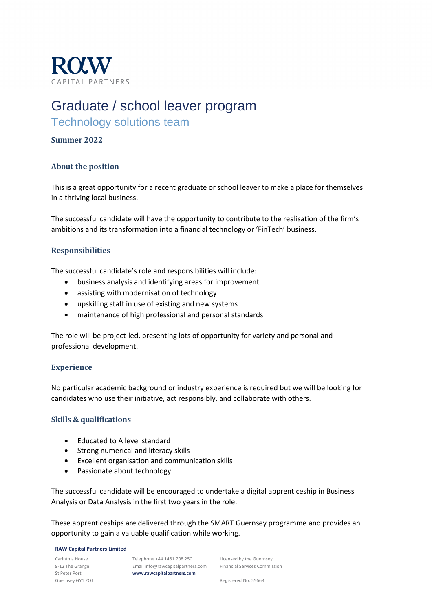

# Graduate / school leaver program

# Technology solutions team

### **Summer 2022**

## **About the position**

This is a great opportunity for a recent graduate or school leaver to make a place for themselves in a thriving local business.

The successful candidate will have the opportunity to contribute to the realisation of the firm's ambitions and its transformation into a financial technology or 'FinTech' business.

#### **Responsibilities**

The successful candidate's role and responsibilities will include:

- business analysis and identifying areas for improvement
- assisting with modernisation of technology
- upskilling staff in use of existing and new systems
- maintenance of high professional and personal standards

The role will be project-led, presenting lots of opportunity for variety and personal and professional development.

#### **Experience**

No particular academic background or industry experience is required but we will be looking for candidates who use their initiative, act responsibly, and collaborate with others.

#### **Skills & qualifications**

- Educated to A level standard
- Strong numerical and literacy skills
- Excellent organisation and communication skills
- Passionate about technology

The successful candidate will be encouraged to undertake a digital apprenticeship in Business Analysis or Data Analysis in the first two years in the role.

These apprenticeships are delivered through the SMART Guernsey programme and provides an opportunity to gain a valuable qualification while working.

#### **RAW Capital Partners Limited**

Carinthia House 9-12 The Grange St Peter Port Guernsey GY1 2QJ

Telephone +44 1481 708 250 Email info@rawcapitalpartners.com **www.rawcapitalpartners.com**

Licensed by the Guernsey Financial Services Commission

Registered No. 55668